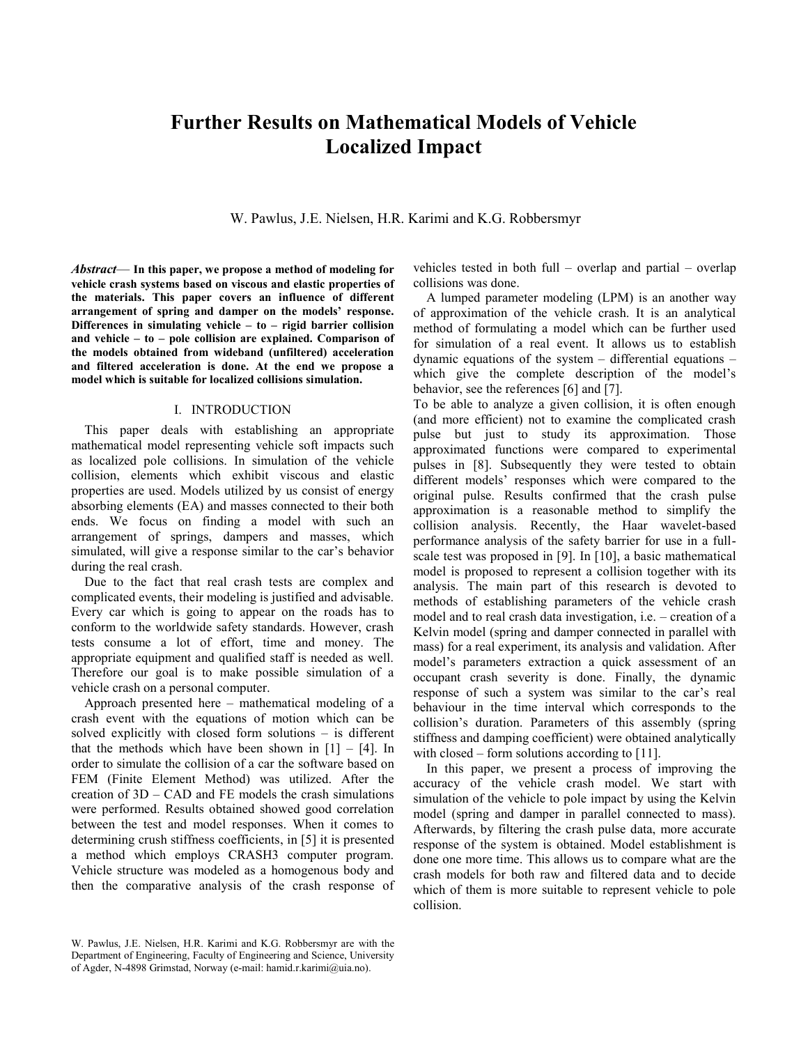# **Further Results on Mathematical Models of Vehicle Localized Impact**

W. Pawlus, J.E. Nielsen, H.R. Karimi and K.G. Robbersmyr

*Abstract*— **In this paper, we propose a method of modeling for vehicle crash systems based on viscous and elastic properties of the materials. This paper covers an influence of different arrangement of spring and damper on the models' response. Differences in simulating vehicle – to – rigid barrier collision and vehicle – to – pole collision are explained. Comparison of the models obtained from wideband (unfiltered) acceleration and filtered acceleration is done. At the end we propose a model which is suitable for localized collisions simulation.**

# I. INTRODUCTION

This paper deals with establishing an appropriate mathematical model representing vehicle soft impacts such as localized pole collisions. In simulation of the vehicle collision, elements which exhibit viscous and elastic properties are used. Models utilized by us consist of energy absorbing elements (EA) and masses connected to their both ends. We focus on finding a model with such an arrangement of springs, dampers and masses, which simulated, will give a response similar to the car's behavior during the real crash.

Due to the fact that real crash tests are complex and complicated events, their modeling is justified and advisable. Every car which is going to appear on the roads has to conform to the worldwide safety standards. However, crash tests consume a lot of effort, time and money. The appropriate equipment and qualified staff is needed as well. Therefore our goal is to make possible simulation of a vehicle crash on a personal computer.

Approach presented here – mathematical modeling of a crash event with the equations of motion which can be solved explicitly with closed form solutions – is different that the methods which have been shown in  $[1] - [4]$ . In order to simulate the collision of a car the software based on FEM (Finite Element Method) was utilized. After the creation of 3D – CAD and FE models the crash simulations were performed. Results obtained showed good correlation between the test and model responses. When it comes to determining crush stiffness coefficients, in [5] it is presented a method which employs CRASH3 computer program. Vehicle structure was modeled as a homogenous body and then the comparative analysis of the crash response of

vehicles tested in both full – overlap and partial – overlap collisions was done.

A lumped parameter modeling (LPM) is an another way of approximation of the vehicle crash. It is an analytical method of formulating a model which can be further used for simulation of a real event. It allows us to establish dynamic equations of the system  $-$  differential equations  $$ which give the complete description of the model's behavior, see the references [6] and [7].

To be able to analyze a given collision, it is often enough (and more efficient) not to examine the complicated crash pulse but just to study its approximation. Those approximated functions were compared to experimental pulses in [8]. Subsequently they were tested to obtain different models' responses which were compared to the original pulse. Results confirmed that the crash pulse approximation is a reasonable method to simplify the collision analysis. Recently, the Haar wavelet-based performance analysis of the safety barrier for use in a fullscale test was proposed in [9]. In [10], a basic mathematical model is proposed to represent a collision together with its analysis. The main part of this research is devoted to methods of establishing parameters of the vehicle crash model and to real crash data investigation, i.e. – creation of a Kelvin model (spring and damper connected in parallel with mass) for a real experiment, its analysis and validation. After model's parameters extraction a quick assessment of an occupant crash severity is done. Finally, the dynamic response of such a system was similar to the car's real behaviour in the time interval which corresponds to the collision's duration. Parameters of this assembly (spring stiffness and damping coefficient) were obtained analytically with closed – form solutions according to [11].

In this paper, we present a process of improving the accuracy of the vehicle crash model. We start with simulation of the vehicle to pole impact by using the Kelvin model (spring and damper in parallel connected to mass). Afterwards, by filtering the crash pulse data, more accurate response of the system is obtained. Model establishment is done one more time. This allows us to compare what are the crash models for both raw and filtered data and to decide which of them is more suitable to represent vehicle to pole collision.

W. Pawlus, J.E. Nielsen, H.R. Karimi and K.G. Robbersmyr are with the Department of Engineering, Faculty of Engineering and Science, University of Agder, N-4898 Grimstad, Norway (e-mail: hamid.r.karimi@uia.no).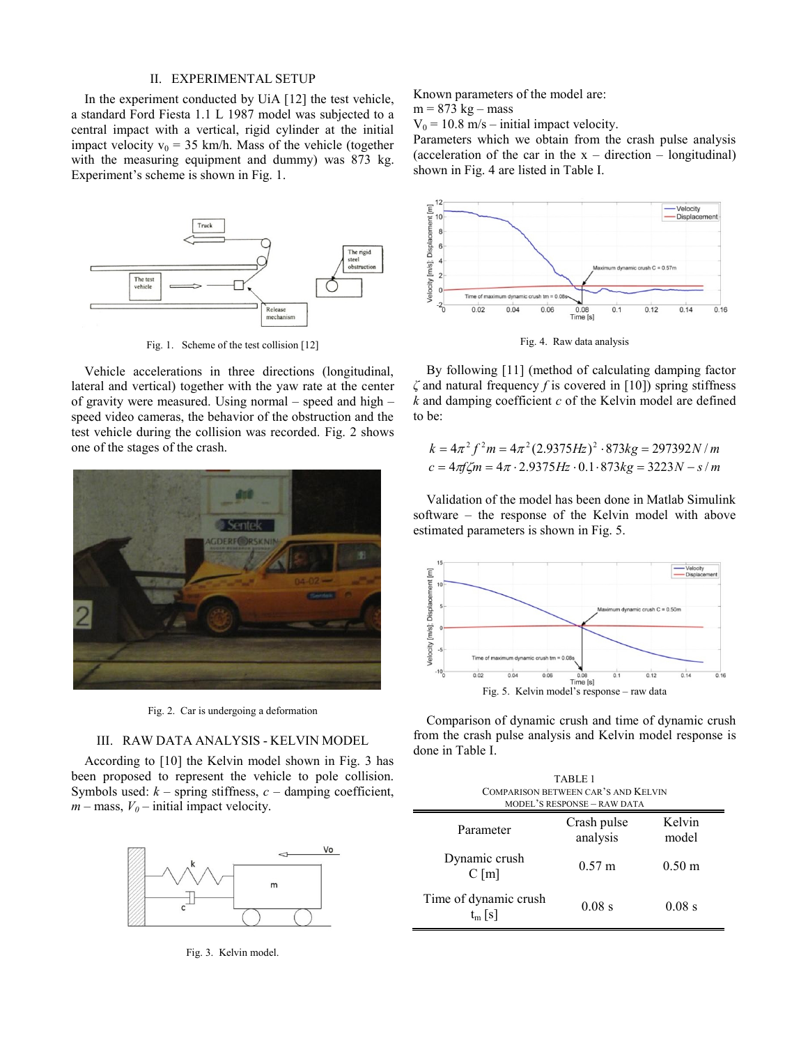## II. EXPERIMENTAL SETUP

In the experiment conducted by UiA [12] the test vehicle, a standard Ford Fiesta 1.1 L 1987 model was subjected to a central impact with a vertical, rigid cylinder at the initial impact velocity  $v_0 = 35$  km/h. Mass of the vehicle (together with the measuring equipment and dummy) was 873 kg. Experiment's scheme is shown in Fig. 1.



Fig. 1. Scheme of the test collision [12]

Vehicle accelerations in three directions (longitudinal, lateral and vertical) together with the yaw rate at the center of gravity were measured. Using normal – speed and high – speed video cameras, the behavior of the obstruction and the test vehicle during the collision was recorded. Fig. 2 shows one of the stages of the crash.



Fig. 2. Car is undergoing a deformation

# III. RAW DATA ANALYSIS - KELVIN MODEL

According to [10] the Kelvin model shown in Fig. 3 has been proposed to represent the vehicle to pole collision. Symbols used:  $k$  – spring stiffness,  $c$  – damping coefficient,  $m$  – mass,  $V_0$  – initial impact velocity.



Fig. 3. Kelvin model.

Known parameters of the model are:

 $m = 873$  kg – mass

 $V_0 = 10.8$  m/s – initial impact velocity.

Parameters which we obtain from the crash pulse analysis (acceleration of the car in the  $x -$  direction – longitudinal) shown in Fig. 4 are listed in Table I.



Fig. 4. Raw data analysis

By following [11] (method of calculating damping factor *ζ* and natural frequency *f* is covered in [10]) spring stiffness *k* and damping coefficient *c* of the Kelvin model are defined to be:

be:  
\n
$$
k = 4\pi^2 f^2 m = 4\pi^2 (2.9375 Hz)^2 \cdot 873 kg = 297392 N/m
$$
\n
$$
c = 4\pi f \zeta m = 4\pi \cdot 2.9375 Hz \cdot 0.1 \cdot 873 kg = 3223 N - s/m
$$

Validation of the model has been done in Matlab Simulink software – the response of the Kelvin model with above estimated parameters is shown in Fig. 5.



Comparison of dynamic crush and time of dynamic crush from the crash pulse analysis and Kelvin model response is done in Table I.

| TABLE 1<br>COMPARISON BETWEEN CAR'S AND KELVIN<br>MODEL'S RESPONSE - RAW DATA |                         |                  |  |  |
|-------------------------------------------------------------------------------|-------------------------|------------------|--|--|
| Parameter                                                                     | Crash pulse<br>analysis | Kelvin<br>model  |  |  |
| Dynamic crush<br>$C$ [m]                                                      | $0.57 \text{ m}$        | $0.50 \;{\rm m}$ |  |  |
| Time of dynamic crush<br>$t_m$ [s]                                            | $0.08$ s                | $0.08$ s         |  |  |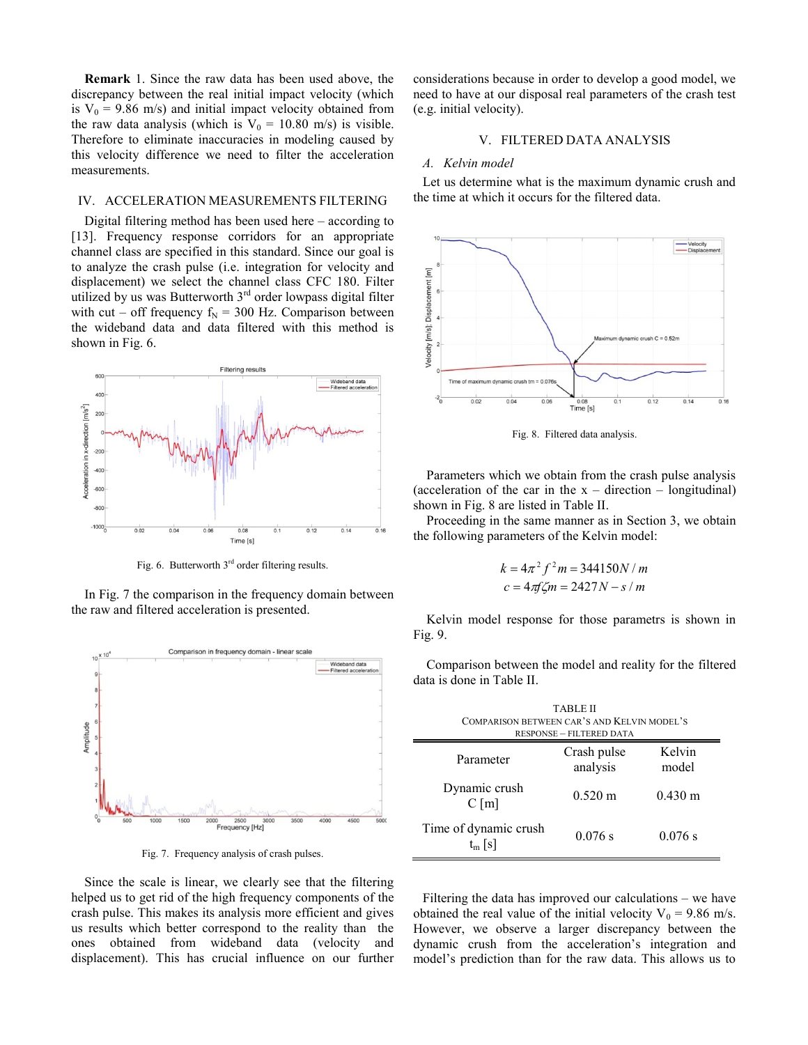**Remark** 1. Since the raw data has been used above, the discrepancy between the real initial impact velocity (which is  $V_0$  = 9.86 m/s) and initial impact velocity obtained from the raw data analysis (which is  $V_0 = 10.80$  m/s) is visible. Therefore to eliminate inaccuracies in modeling caused by this velocity difference we need to filter the acceleration measurements.

## IV. ACCELERATION MEASUREMENTS FILTERING

Digital filtering method has been used here – according to [13]. Frequency response corridors for an appropriate channel class are specified in this standard. Since our goal is to analyze the crash pulse (i.e. integration for velocity and displacement) we select the channel class CFC 180. Filter utilized by us was Butterworth  $3<sup>rd</sup>$  order lowpass digital filter with cut – off frequency  $f_N = 300$  Hz. Comparison between the wideband data and data filtered with this method is shown in Fig. 6.



Fig. 6. Butterworth  $3<sup>rd</sup>$  order filtering results.

In Fig. 7 the comparison in the frequency domain between the raw and filtered acceleration is presented.



Fig. 7. Frequency analysis of crash pulses.

Since the scale is linear, we clearly see that the filtering helped us to get rid of the high frequency components of the crash pulse. This makes its analysis more efficient and gives us results which better correspond to the reality than the ones obtained from wideband data (velocity and displacement). This has crucial influence on our further

considerations because in order to develop a good model, we need to have at our disposal real parameters of the crash test (e.g. initial velocity).

# V. FILTERED DATA ANALYSIS

#### *A. Kelvin model*

Let us determine what is the maximum dynamic crush and the time at which it occurs for the filtered data.



Fig. 8. Filtered data analysis.

Parameters which we obtain from the crash pulse analysis (acceleration of the car in the  $x -$  direction – longitudinal) shown in Fig. 8 are listed in Table II.

Proceeding in the same manner as in Section 3, we obtain the following parameters of the Kelvin model:

$$
k = 4\pi^2 f^2 m = 344150N/m
$$
  

$$
c = 4\pi f\zeta m = 2427N - s/m
$$

Kelvin model response for those parametrs is shown in Fig. 9.

Comparison between the model and reality for the filtered data is done in Table II.

| <b>TABLE II</b><br>COMPARISON BETWEEN CAR'S AND KELVIN MODEL'S<br><b>RESPONSE - FILTERED DATA</b> |                         |                   |  |  |
|---------------------------------------------------------------------------------------------------|-------------------------|-------------------|--|--|
| Parameter                                                                                         | Crash pulse<br>analysis | Kelvin<br>model   |  |  |
| Dynamic crush<br>$C$ [m]                                                                          | $0.520 \text{ m}$       | $0.430 \text{ m}$ |  |  |
| Time of dynamic crush<br>$t_m$ [s]                                                                | 0.076 s                 | 0.076 s           |  |  |

Ĩ.

Filtering the data has improved our calculations – we have obtained the real value of the initial velocity  $V_0 = 9.86$  m/s. However, we observe a larger discrepancy between the dynamic crush from the acceleration's integration and model's prediction than for the raw data. This allows us to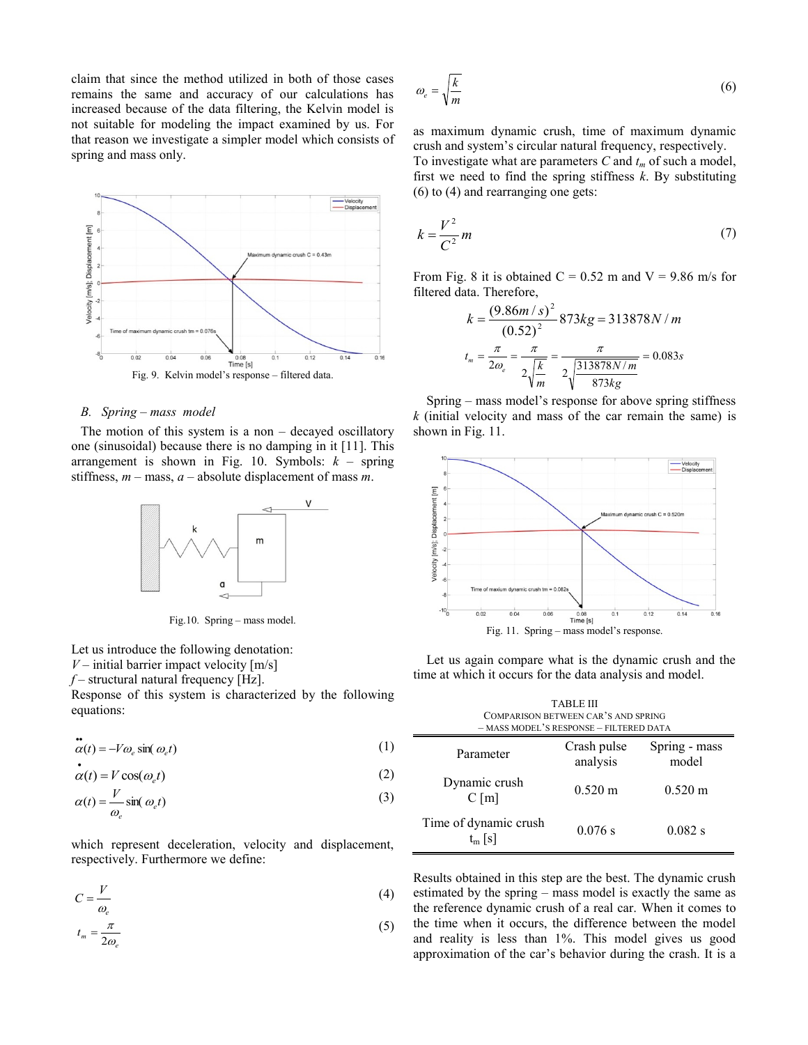claim that since the method utilized in both of those cases remains the same and accuracy of our calculations has increased because of the data filtering, the Kelvin model is not suitable for modeling the impact examined by us. For that reason we investigate a simpler model which consists of spring and mass only.



# *B. Spring – mass model*

The motion of this system is a non – decayed oscillatory one (sinusoidal) because there is no damping in it [11]. This arrangement is shown in Fig. 10. Symbols:  $k -$  spring stiffness, *m* – mass, *a* – absolute displacement of mass *m*.



Fig.10. Spring – mass model.

Let us introduce the following denotation:  $V$  – initial barrier impact velocity  $[m/s]$ 

*f* – structural natural frequency [Hz].

 $\ddot{\phantom{a}}$ 

Response of this system is characterized by the following equations:

$$
\alpha(t) = -V\omega_e \sin(\omega_e t) \tag{1}
$$

 $\alpha(t) = V \cos(\omega_e t)$ (2)

$$
\alpha(t) = \frac{V}{\omega_e} \sin(\omega_e t) \tag{3}
$$

which represent deceleration, velocity and displacement, respectively. Furthermore we define:

$$
C = \frac{V}{\omega_e} \tag{4}
$$

$$
t_m = \frac{\pi}{2\omega_e} \tag{5}
$$

$$
\omega_e = \sqrt{\frac{k}{m}}\tag{6}
$$

as maximum dynamic crush, time of maximum dynamic crush and system's circular natural frequency, respectively. To investigate what are parameters *C* and *t<sup>m</sup>* of such a model, first we need to find the spring stiffness *k*. By substituting (6) to (4) and rearranging one gets:

$$
k = \frac{V^2}{C^2} m \tag{7}
$$

From Fig. 8 it is obtained  $C = 0.52$  m and  $V = 9.86$  m/s for filtered data. Therefore,

$$
k = \frac{(9.86m/s)^2}{(0.52)^2} \cdot 873kg = 313878N/m
$$
\n
$$
t_m = \frac{\pi}{2\omega_e} = \frac{\pi}{2\sqrt{\frac{k}{m}}} = \frac{\pi}{2\sqrt{\frac{313878N/m}{873kg}}} = 0.083s
$$

Spring – mass model's response for above spring stiffness *k* (initial velocity and mass of the car remain the same) is shown in Fig. 11.



Let us again compare what is the dynamic crush and the time at which it occurs for the data analysis and model.

| TABLE III<br>COMPARISON BETWEEN CAR'S AND SPRING<br>- MASS MODEL'S RESPONSE - FILTERED DATA |                         |                        |  |
|---------------------------------------------------------------------------------------------|-------------------------|------------------------|--|
| Parameter                                                                                   | Crash pulse<br>analysis | Spring - mass<br>model |  |
| Dynamic crush<br>$C$ [m]                                                                    | $0.520 \text{ m}$       | $0.520 \text{ m}$      |  |
| Time of dynamic crush<br>$t_m$ [s]                                                          | 0.076 s                 | 0.082 s                |  |

÷,

Results obtained in this step are the best. The dynamic crush estimated by the spring – mass model is exactly the same as the reference dynamic crush of a real car. When it comes to the time when it occurs, the difference between the model and reality is less than 1%. This model gives us good approximation of the car's behavior during the crash. It is a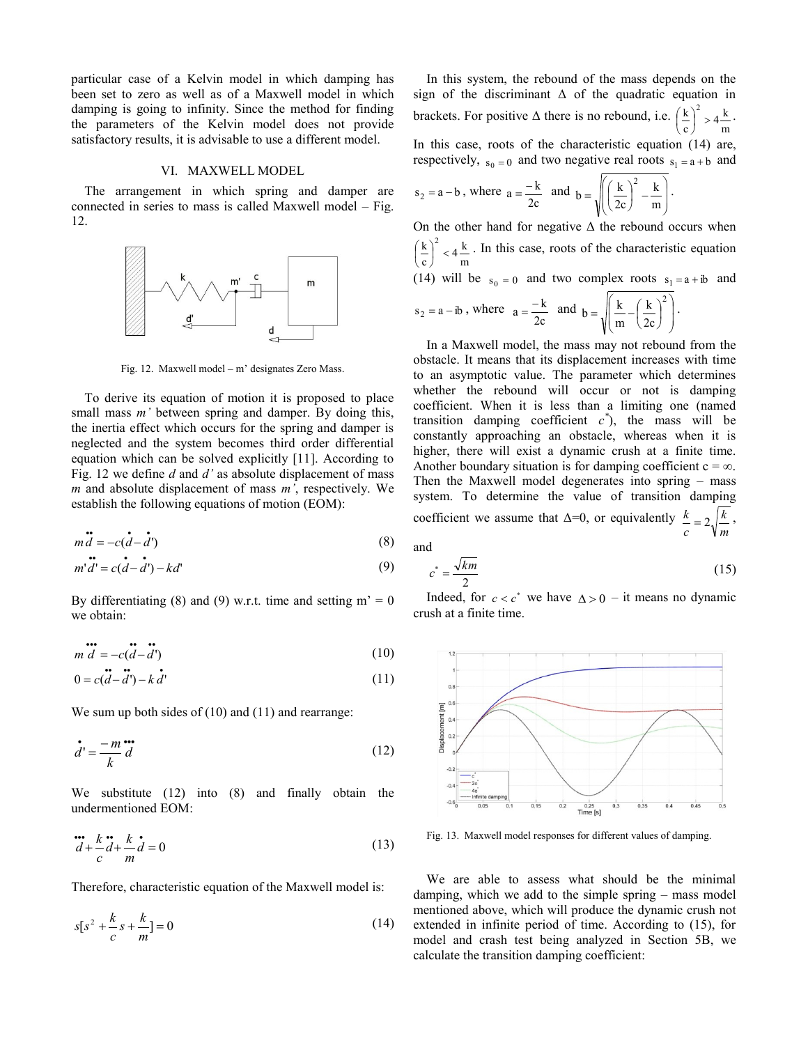particular case of a Kelvin model in which damping has been set to zero as well as of a Maxwell model in which damping is going to infinity. Since the method for finding the parameters of the Kelvin model does not provide satisfactory results, it is advisable to use a different model.

## VI. MAXWELL MODEL

The arrangement in which spring and damper are connected in series to mass is called Maxwell model – Fig. 12.



Fig. 12. Maxwell model – m' designates Zero Mass.

To derive its equation of motion it is proposed to place small mass *m'* between spring and damper. By doing this, the inertia effect which occurs for the spring and damper is neglected and the system becomes third order differential equation which can be solved explicitly [11]. According to Fig. 12 we define *d* and *d'* as absolute displacement of mass *m* and absolute displacement of mass *m'*, respectively. We establish the following equations of motion (EOM):

$$
\vec{m} \cdot \vec{d} = -c(\vec{d} - \vec{d}')
$$
 (8)

$$
m'\ddot{d'} = c(\dot{d} - \dot{d'}) - kd'
$$
\n(9)

By differentiating (8) and (9) w.r.t. time and setting  $m' = 0$ we obtain:

$$
m \ddot{d} = -c(\ddot{d} - \ddot{d}')
$$
 (10)

$$
0 = c(\vec{d} - \vec{d}') - k\vec{d}'
$$
\n(11)

We sum up both sides of  $(10)$  and  $(11)$  and rearrange:

$$
\dot{d} = \frac{-m}{k} \dot{d} \tag{12}
$$

We substitute (12) into (8) and finally obtain the undermentioned EOM:

$$
\dddot{d} + \frac{k}{c}\dot{d} + \frac{k}{m}\dot{d} = 0\tag{13}
$$

Therefore, characteristic equation of the Maxwell model is:

$$
s[s^2 + \frac{k}{c}s + \frac{k}{m}] = 0
$$
 (14)

In this system, the rebound of the mass depends on the sign of the discriminant  $\Delta$  of the quadratic equation in brackets. For positive  $\Delta$  there is no rebound, i.e. m  $\left(\frac{k}{c}\right)^2 > 4\frac{k}{m}$  $k\setminus^2$  $\vert$  >  $\left(\frac{k}{c}\right)$  $\left(\frac{k}{2}\right)^2 > 4\frac{k}{2}$ . In this case, roots of the characteristic equation (14) are, respectively,  $s_0 = 0$  and two negative real roots  $s_1 = a + b$  and

 $s_2 = a - b$ , where  $a = \frac{-k}{2c}$  $a = \frac{-k}{2}$  and  $\overline{\phantom{a}}$  $\mathbf{I}$ J  $\lambda$ L L L ſ  $\Big\} =$  $\left(\frac{k}{2c}\right)$  $=\sqrt{\left(\frac{k}{2c}\right)^2-\frac{k}{m}}$ k 2c  $b = \sqrt{\frac{k}{2}}$  $\left[\frac{2}{k}\right]$ .

On the other hand for negative  $\Delta$  the rebound occurs when m  $\left(\frac{k}{c}\right)^2 < 4\frac{k}{m}$  $k\setminus^2$  $\Big\}$  <  $\left(\frac{k}{c}\right)$  $\left(\frac{k}{2}\right)^2$   $\leq$  4  $\frac{k}{2}$ . In this case, roots of the characteristic equation (14) will be  $s_0 = 0$  and two complex roots  $s_1 = a + ib$  and  $s_2 = a - ib$ , where  $a = \frac{-k}{2c}$  $a = \frac{-k}{2}$  and  $\overline{\phantom{a}}$  $\mathbf{I}$ J Ι L L L ſ  $\int$  $\left(\frac{k}{2c}\right)$  $=\int \frac{k}{k-1}$ 2  $_{2c}$ k m  $b = \left( \frac{k}{2} - \left( \frac{k}{2} \right)^2 \right)$ .

In a Maxwell model, the mass may not rebound from the obstacle. It means that its displacement increases with time to an asymptotic value. The parameter which determines whether the rebound will occur or not is damping coefficient. When it is less than a limiting one (named transition damping coefficient  $c^*$ ), the mass will be constantly approaching an obstacle, whereas when it is higher, there will exist a dynamic crush at a finite time. Another boundary situation is for damping coefficient  $c = \infty$ . Then the Maxwell model degenerates into spring – mass system. To determine the value of transition damping coefficient we assume that  $\Delta=0$ , or equivalently *m k c*  $\frac{k}{-} = 2 \sqrt{\frac{k}{-}}$ 

and

$$
c^* = \frac{\sqrt{km}}{2} \tag{15}
$$

Indeed, for  $c < c^*$  we have  $\Delta > 0$  – it means no dynamic crush at a finite time.



Fig. 13. Maxwell model responses for different values of damping.

We are able to assess what should be the minimal damping, which we add to the simple spring – mass model mentioned above, which will produce the dynamic crush not extended in infinite period of time. According to (15), for model and crash test being analyzed in Section 5B, we calculate the transition damping coefficient: